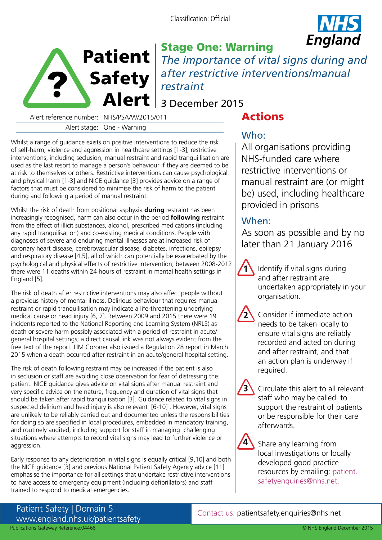Classification: Official





Stage One: Warning *The importance of vital signs during and after restrictive interventions/manual restraint* 

## 3 December 2015

Alert reference number: NHS/PSA/W/2015/011 Alert stage: One - Warning

# Actions

Whilst a range of guidance exists on positive interventions to reduce the risk of self-harm, violence and aggression in healthcare settings [1-3], restrictive interventions, including seclusion, manual restraint and rapid tranquillisation are used as the last resort to manage a person's behaviour if they are deemed to be at risk to themselves or others. Restrictive interventions can cause psychological and physical harm [1-3] and NICE guidance [3] provides advice on a range of factors that must be considered to minimise the risk of harm to the patient during and following a period of manual restraint.

Whilst the risk of death from positional asphyxia **during** restraint has been increasingly recognised, harm can also occur in the period **following** restraint from the effect of illicit substances, alcohol, prescribed medications (including any rapid tranquilisation) and co-existing medical conditions. People with diagnoses of severe and enduring mental illnesses are at increased risk of coronary heart disease, cerebrovascular disease, diabetes, infections, epilepsy and respiratory disease [4,5], all of which can potentially be exacerbated by the psychological and physical effects of restrictive intervention; between 2008-2012 there were 11 deaths within 24 hours of restraint in mental health settings in England [5].

The risk of death after restrictive interventions may also affect people without a previous history of mental illness. Delirious behaviour that requires manual restraint or rapid tranquilisation may indicate a life-threatening underlying medical cause or head injury [6, 7]. Between 2009 and 2015 there were 19 incidents reported to the National Reporting and Learning System (NRLS) as death or severe harm possibly associated with a period of restraint in acute/ general hospital settings; a direct causal link was not always evident from the free text of the report. HM Coroner also issued a Regulation 28 report in March 2015 when a death occurred after restraint in an acute/general hospital setting.

The risk of death following restraint may be increased if the patient is also in seclusion or staff are avoiding close observation for fear of distressing the patient. NICE guidance gives advice on vital signs after manual restraint and very specific advice on the nature, frequency and duration of vital signs that should be taken after rapid tranquilisation [3]. Guidance related to vital signs in suspected delirium and head injury is also relevant [6-10] . However, vital signs are unlikely to be reliably carried out and documented unless the responsibilities for doing so are specified in local procedures, embedded in mandatory training, and routinely audited, including support for staff in managing challenging situations where attempts to record vital signs may lead to further violence or aggression.

Early response to any deterioration in vital signs is equally critical [9,10] and both the NICE guidance [3] and previous National Patient Safety Agency advice [11] emphasise the importance for all settings that undertake restrictive interventions to have access to emergency equipment (including defibrillators) and staff trained to respond to medical emergencies.

## Who:

All organisations providing NHS-funded care where restrictive interventions or manual restraint are (or might be) used, including healthcare provided in prisons

### When:

**1**

**2**

As soon as possible and by no later than 21 January 2016

Identify if vital signs during and after restraint are undertaken appropriately in your organisation.

Consider if immediate action needs to be taken locally to ensure vital signs are reliably recorded and acted on during and after restraint, and that an action plan is underway if required.



Circulate this alert to all relevant staff who may be called to support the restraint of patients or be responsible for their care afterwards.



Share any learning from local investigations or locally developed good practice resources by emailing: [patient.](mailto:patient.safetyenquiries@nhs.net) [safetyenquiries@nhs.net.](mailto:patient.safetyenquiries@nhs.net)

Patient Safety | Domain 5 www.england.nhs.uk/patientsafety Publications Gateway Reference:04468